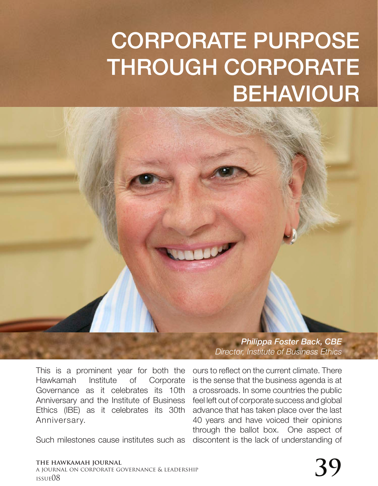## CORPORATE PURPOSE THROUGH CORPORATE BEHAVIOUR

*Philippa Foster Back, CBE*

This is a prominent year for both the Hawkamah Institute of Corporate Governance as it celebrates its 10th Anniversary and the Institute of Business Ethics (IBE) as it celebrates its 30th Anniversary.

Such milestones cause institutes such as

ours to reflect on the current climate. There is the sense that the business agenda is at a crossroads. In some countries the public feel left out of corporate success and global advance that has taken place over the last 40 years and have voiced their opinions through the ballot box. One aspect of discontent is the lack of understanding of

*Director, Institute of Business Ethics*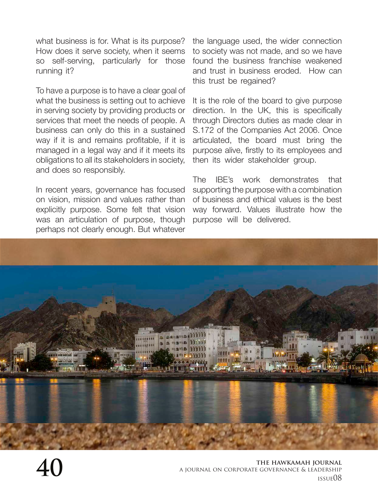what business is for. What is its purpose? How does it serve society, when it seems so self-serving, particularly for those running it?

To have a purpose is to have a clear goal of what the business is setting out to achieve in serving society by providing products or services that meet the needs of people. A business can only do this in a sustained way if it is and remains profitable, if it is managed in a legal way and if it meets its obligations to all its stakeholders in society, and does so responsibly.

In recent years, governance has focused on vision, mission and values rather than explicitly purpose. Some felt that vision was an articulation of purpose, though perhaps not clearly enough. But whatever the language used, the wider connection to society was not made, and so we have found the business franchise weakened and trust in business eroded. How can this trust be regained?

It is the role of the board to give purpose direction. In the UK, this is specifically through Directors duties as made clear in S.172 of the Companies Act 2006. Once articulated, the board must bring the purpose alive, firstly to its employees and then its wider stakeholder group.

The IBE's work demonstrates that supporting the purpose with a combination of business and ethical values is the best way forward. Values illustrate how the purpose will be delivered.

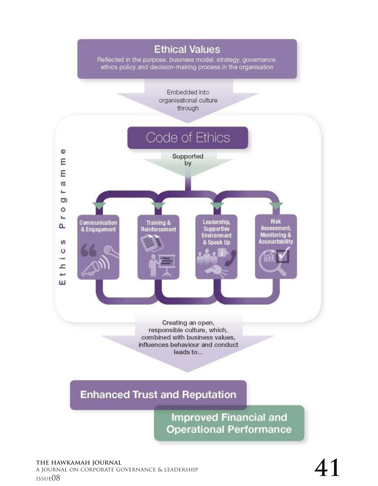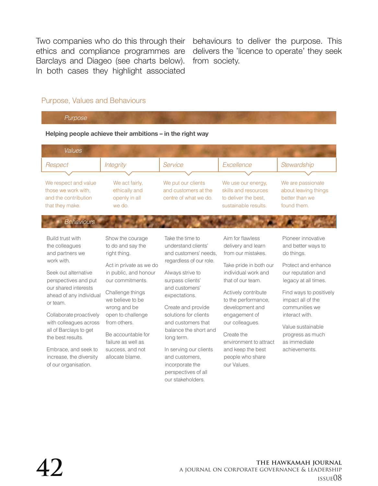Two companies who do this through their ethics and compliance programmes are Barclays and Diageo (see charts below). In both cases they highlight associated

behaviours to deliver the purpose. This delivers the 'licence to operate' they seek from society.

## Purpose, Values and Behaviours

*Purpose*

## **Helping people achieve their ambitions – in the right way**

| <b>Values</b>                                               |                                           |                                            |                                              |                                              |
|-------------------------------------------------------------|-------------------------------------------|--------------------------------------------|----------------------------------------------|----------------------------------------------|
| Respect                                                     | <b>Integrity</b>                          | Service                                    | Excellence                                   | Stewardship                                  |
|                                                             |                                           |                                            |                                              |                                              |
| We respect and value<br>those we work with.                 | We act fairly,<br>ethically and           | We put our clients<br>and customers at the | We use our energy,<br>skills and resources   | We are passionate<br>about leaving things    |
| and the contribution<br>that they make.                     | openly in all<br>we do.                   | centre of what we do.                      | to deliver the best,<br>sustainable results. | better than we<br>found them.                |
| <b>Behaviours</b>                                           |                                           |                                            |                                              |                                              |
| Build trust with                                            | Show the courage                          | Take the time to                           | Aim for flawless                             | Pioneer innovative                           |
| the colleagues                                              | to do and say the                         | understand clients'                        | delivery and learn                           | and better ways to                           |
| and partners we                                             | right thing.                              | and customers' needs.                      | from our mistakes.                           | do things.                                   |
| work with.                                                  |                                           | regardless of our role.                    |                                              |                                              |
|                                                             | Act in private as we do                   |                                            | Take pride in both our                       | Protect and enhance                          |
| Seek out alternative<br>perspectives and put                | in public, and honour<br>our commitments. | Always strive to<br>surpass clients'       | individual work and<br>that of our team.     | our reputation and<br>legacy at all times.   |
| our shared interests<br>ahead of any individual<br>or team. | Challenge things<br>we believe to be      | and customers'<br>expectations.            | Actively contribute<br>to the performance,   | Find ways to positively<br>impact all of the |
|                                                             | wrong and be                              | Create and provide                         | development and                              | communities we                               |
| Collaborate proactively                                     | open to challenge                         | solutions for clients                      | engagement of                                | interact with.                               |
| with colleagues across                                      | from others.                              | and customers that                         | our colleagues.                              | Value sustainable                            |
| all of Barclays to get                                      | Be accountable for                        | balance the short and                      | Create the                                   | progress as much                             |
| the best results.                                           | failure as well as                        | long term.                                 | environment to attract                       | as immediate                                 |
| Embrace, and seek to                                        | success, and not                          | In serving our clients                     | and keep the best                            | achievements.                                |
| increase, the diversity                                     | allocate blame.                           | and customers.                             | people who share                             |                                              |
| of our organisation.                                        |                                           | incorporate the                            | our Values.                                  |                                              |
|                                                             |                                           | perspectives of all                        |                                              |                                              |
|                                                             |                                           | our stakeholders.                          |                                              |                                              |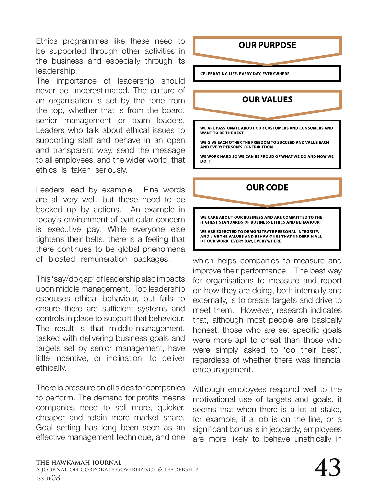Ethics programmes like these need to be supported through other activities in the business and especially through its leadership.

The importance of leadership should never be underestimated. The culture of an organisation is set by the tone from the top, whether that is from the board, senior management or team leaders. Leaders who talk about ethical issues to supporting staff and behave in an open and transparent way, send the message to all employees, and the wider world, that ethics is taken seriously.

Leaders lead by example. Fine words are all very well, but these need to be backed up by actions. An example in today's environment of particular concern is executive pay. While everyone else tightens their belts, there is a feeling that there continues to be global phenomena of bloated remuneration packages.

This 'say/do gap' of leadership also impacts upon middle management. Top leadership espouses ethical behaviour, but fails to ensure there are sufficient systems and controls in place to support that behaviour. The result is that middle-management, tasked with delivering business goals and targets set by senior management, have little incentive, or inclination, to deliver ethically.

There is pressure on all sides for companies to perform. The demand for profits means companies need to sell more, quicker, cheaper and retain more market share. Goal setting has long been seen as an effective management technique, and one



WE ARE EXPECTED TO DEMONSTRATE PERSONAL INTEGRITY, AND LIVE THE VALUES AND BEHAVIOURS THAT UNDERPIN ALL OF OUR WORK, EVERY DAY, EVERYWHERE

which helps companies to measure and improve their performance. The best way for organisations to measure and report on how they are doing, both internally and externally, is to create targets and drive to meet them. However, research indicates that, although most people are basically honest, those who are set specific goals were more apt to cheat than those who were simply asked to 'do their best', regardless of whether there was financial encouragement.

Although employees respond well to the motivational use of targets and goals, it seems that when there is a lot at stake, for example, if a job is on the line, or a significant bonus is in jeopardy, employees are more likely to behave unethically in